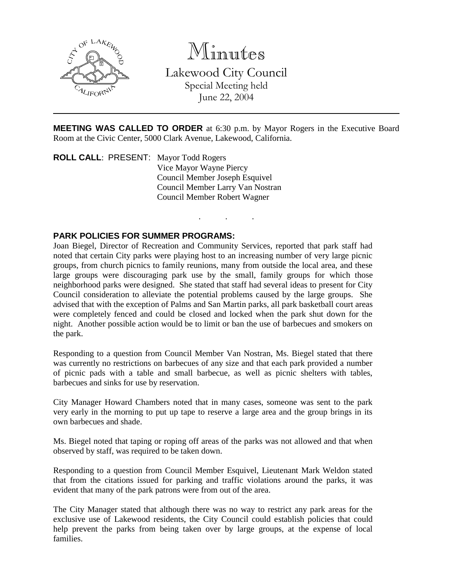

Minutes

Lakewood City Council Special Meeting held June 22, 2004

**MEETING WAS CALLED TO ORDER** at 6:30 p.m. by Mayor Rogers in the Executive Board Room at the Civic Center, 5000 Clark Avenue, Lakewood, California.

. . .

**ROLL CALL**: PRESENT: Mayor Todd Rogers Vice Mayor Wayne Piercy Council Member Joseph Esquivel Council Member Larry Van Nostran Council Member Robert Wagner

### **PARK POLICIES FOR SUMMER PROGRAMS:**

Joan Biegel, Director of Recreation and Community Services, reported that park staff had noted that certain City parks were playing host to an increasing number of very large picnic groups, from church picnics to family reunions, many from outside the local area, and these large groups were discouraging park use by the small, family groups for which those neighborhood parks were designed. She stated that staff had several ideas to present for City Council consideration to alleviate the potential problems caused by the large groups. She advised that with the exception of Palms and San Martin parks, all park basketball court areas were completely fenced and could be closed and locked when the park shut down for the night. Another possible action would be to limit or ban the use of barbecues and smokers on the park.

Responding to a question from Council Member Van Nostran, Ms. Biegel stated that there was currently no restrictions on barbecues of any size and that each park provided a number of picnic pads with a table and small barbecue, as well as picnic shelters with tables, barbecues and sinks for use by reservation.

City Manager Howard Chambers noted that in many cases, someone was sent to the park very early in the morning to put up tape to reserve a large area and the group brings in its own barbecues and shade.

Ms. Biegel noted that taping or roping off areas of the parks was not allowed and that when observed by staff, was required to be taken down.

Responding to a question from Council Member Esquivel, Lieutenant Mark Weldon stated that from the citations issued for parking and traffic violations around the parks, it was evident that many of the park patrons were from out of the area.

The City Manager stated that although there was no way to restrict any park areas for the exclusive use of Lakewood residents, the City Council could establish policies that could help prevent the parks from being taken over by large groups, at the expense of local families.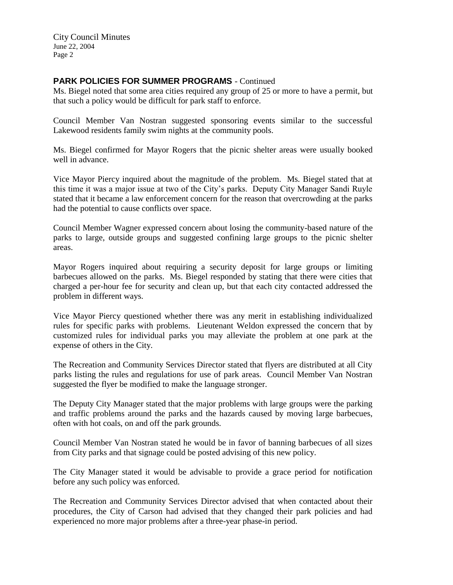City Council Minutes June 22, 2004 Page 2

# **PARK POLICIES FOR SUMMER PROGRAMS** - Continued

Ms. Biegel noted that some area cities required any group of 25 or more to have a permit, but that such a policy would be difficult for park staff to enforce.

Council Member Van Nostran suggested sponsoring events similar to the successful Lakewood residents family swim nights at the community pools.

Ms. Biegel confirmed for Mayor Rogers that the picnic shelter areas were usually booked well in advance.

Vice Mayor Piercy inquired about the magnitude of the problem. Ms. Biegel stated that at this time it was a major issue at two of the City's parks. Deputy City Manager Sandi Ruyle stated that it became a law enforcement concern for the reason that overcrowding at the parks had the potential to cause conflicts over space.

Council Member Wagner expressed concern about losing the community-based nature of the parks to large, outside groups and suggested confining large groups to the picnic shelter areas.

Mayor Rogers inquired about requiring a security deposit for large groups or limiting barbecues allowed on the parks. Ms. Biegel responded by stating that there were cities that charged a per-hour fee for security and clean up, but that each city contacted addressed the problem in different ways.

Vice Mayor Piercy questioned whether there was any merit in establishing individualized rules for specific parks with problems. Lieutenant Weldon expressed the concern that by customized rules for individual parks you may alleviate the problem at one park at the expense of others in the City.

The Recreation and Community Services Director stated that flyers are distributed at all City parks listing the rules and regulations for use of park areas. Council Member Van Nostran suggested the flyer be modified to make the language stronger.

The Deputy City Manager stated that the major problems with large groups were the parking and traffic problems around the parks and the hazards caused by moving large barbecues, often with hot coals, on and off the park grounds.

Council Member Van Nostran stated he would be in favor of banning barbecues of all sizes from City parks and that signage could be posted advising of this new policy.

The City Manager stated it would be advisable to provide a grace period for notification before any such policy was enforced.

The Recreation and Community Services Director advised that when contacted about their procedures, the City of Carson had advised that they changed their park policies and had experienced no more major problems after a three-year phase-in period.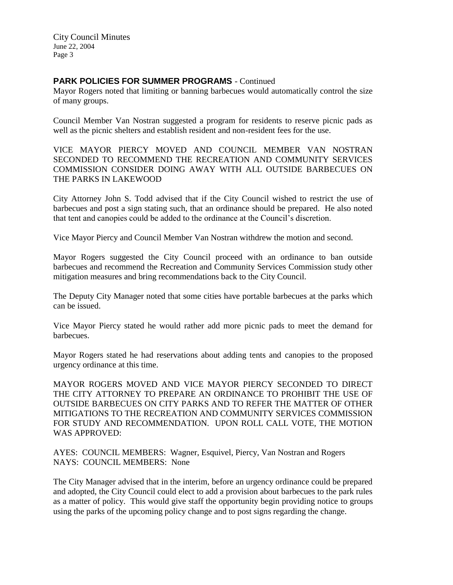City Council Minutes June 22, 2004 Page 3

### **PARK POLICIES FOR SUMMER PROGRAMS** - Continued

Mayor Rogers noted that limiting or banning barbecues would automatically control the size of many groups.

Council Member Van Nostran suggested a program for residents to reserve picnic pads as well as the picnic shelters and establish resident and non-resident fees for the use.

VICE MAYOR PIERCY MOVED AND COUNCIL MEMBER VAN NOSTRAN SECONDED TO RECOMMEND THE RECREATION AND COMMUNITY SERVICES COMMISSION CONSIDER DOING AWAY WITH ALL OUTSIDE BARBECUES ON THE PARKS IN LAKEWOOD

City Attorney John S. Todd advised that if the City Council wished to restrict the use of barbecues and post a sign stating such, that an ordinance should be prepared. He also noted that tent and canopies could be added to the ordinance at the Council's discretion.

Vice Mayor Piercy and Council Member Van Nostran withdrew the motion and second.

Mayor Rogers suggested the City Council proceed with an ordinance to ban outside barbecues and recommend the Recreation and Community Services Commission study other mitigation measures and bring recommendations back to the City Council.

The Deputy City Manager noted that some cities have portable barbecues at the parks which can be issued.

Vice Mayor Piercy stated he would rather add more picnic pads to meet the demand for **barbecues** 

Mayor Rogers stated he had reservations about adding tents and canopies to the proposed urgency ordinance at this time.

MAYOR ROGERS MOVED AND VICE MAYOR PIERCY SECONDED TO DIRECT THE CITY ATTORNEY TO PREPARE AN ORDINANCE TO PROHIBIT THE USE OF OUTSIDE BARBECUES ON CITY PARKS AND TO REFER THE MATTER OF OTHER MITIGATIONS TO THE RECREATION AND COMMUNITY SERVICES COMMISSION FOR STUDY AND RECOMMENDATION. UPON ROLL CALL VOTE, THE MOTION WAS APPROVED:

AYES: COUNCIL MEMBERS: Wagner, Esquivel, Piercy, Van Nostran and Rogers NAYS: COUNCIL MEMBERS: None

The City Manager advised that in the interim, before an urgency ordinance could be prepared and adopted, the City Council could elect to add a provision about barbecues to the park rules as a matter of policy. This would give staff the opportunity begin providing notice to groups using the parks of the upcoming policy change and to post signs regarding the change.